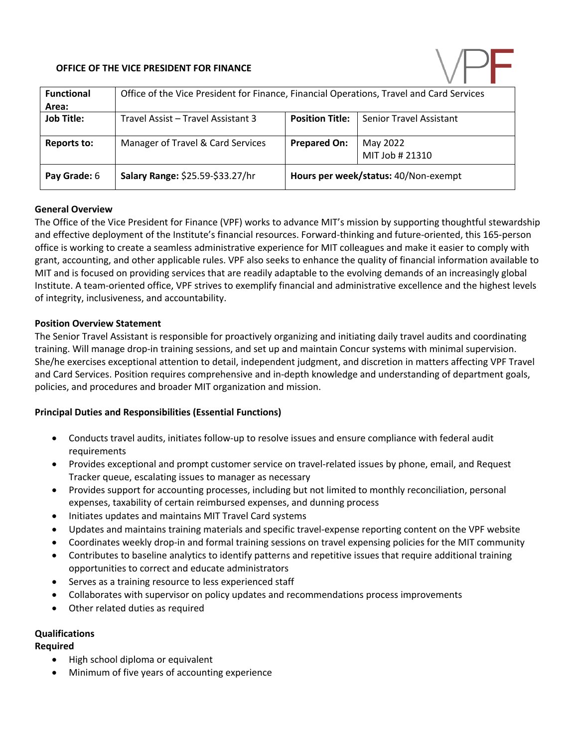# **OFFICE OF THE VICE PRESIDENT FOR FINANCE**



| <b>Functional</b><br>Area: | Office of the Vice President for Finance, Financial Operations, Travel and Card Services |                                      |                                |
|----------------------------|------------------------------------------------------------------------------------------|--------------------------------------|--------------------------------|
| <b>Job Title:</b>          | Travel Assist - Travel Assistant 3                                                       | <b>Position Title:</b>               | <b>Senior Travel Assistant</b> |
| Reports to:                | Manager of Travel & Card Services                                                        | <b>Prepared On:</b>                  | May 2022<br>MIT Job # 21310    |
| Pay Grade: 6               | Salary Range: \$25.59-\$33.27/hr                                                         | Hours per week/status: 40/Non-exempt |                                |

## **General Overview**

The Office of the Vice President for Finance (VPF) works to advance MIT's mission by supporting thoughtful stewardship and effective deployment of the Institute's financial resources. Forward-thinking and future-oriented, this 165-person office is working to create a seamless administrative experience for MIT colleagues and make it easier to comply with grant, accounting, and other applicable rules. VPF also seeks to enhance the quality of financial information available to MIT and is focused on providing services that are readily adaptable to the evolving demands of an increasingly global Institute. A team-oriented office, VPF strives to exemplify financial and administrative excellence and the highest levels of integrity, inclusiveness, and accountability.

## **Position Overview Statement**

The Senior Travel Assistant is responsible for proactively organizing and initiating daily travel audits and coordinating training. Will manage drop-in training sessions, and set up and maintain Concur systems with minimal supervision. She/he exercises exceptional attention to detail, independent judgment, and discretion in matters affecting VPF Travel and Card Services. Position requires comprehensive and in-depth knowledge and understanding of department goals, policies, and procedures and broader MIT organization and mission.

# **Principal Duties and Responsibilities (Essential Functions)**

- Conducts travel audits, initiates follow-up to resolve issues and ensure compliance with federal audit requirements
- Provides exceptional and prompt customer service on travel-related issues by phone, email, and Request Tracker queue, escalating issues to manager as necessary
- Provides support for accounting processes, including but not limited to monthly reconciliation, personal expenses, taxability of certain reimbursed expenses, and dunning process
- Initiates updates and maintains MIT Travel Card systems
- Updates and maintains training materials and specific travel-expense reporting content on the VPF website
- Coordinates weekly drop-in and formal training sessions on travel expensing policies for the MIT community
- Contributes to baseline analytics to identify patterns and repetitive issues that require additional training opportunities to correct and educate administrators
- Serves as a training resource to less experienced staff
- Collaborates with supervisor on policy updates and recommendations process improvements
- Other related duties as required

# **Qualifications**

# **Required**

- High school diploma or equivalent
- Minimum of five years of accounting experience